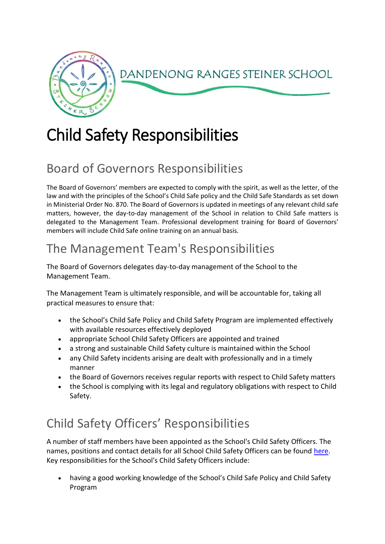

# Child Safety Responsibilities

## Board of Governors Responsibilities

The Board of Governors' members are expected to comply with the spirit, as well as the letter, of the law and with the principles of the School's Child Safe policy and the Child Safe Standards as set down in Ministerial Order No. 870. The Board of Governors is updated in meetings of any relevant child safe matters, however, the day-to-day management of the School in relation to Child Safe matters is delegated to the Management Team. Professional development training for Board of Governors' members will include Child Safe online training on an annual basis.

# The Management Team's Responsibilities

The Board of Governors delegates day-to-day management of the School to the Management Team.

The Management Team is ultimately responsible, and will be accountable for, taking all practical measures to ensure that:

- the School's Child Safe Policy and Child Safety Program are implemented effectively with available resources effectively deployed
- appropriate School Child Safety Officers are appointed and trained
- a strong and sustainable Child Safety culture is maintained within the School
- any Child Safety incidents arising are dealt with professionally and in a timely manner
- the Board of Governors receives regular reports with respect to Child Safety matters
- the School is complying with its legal and regulatory obligations with respect to Child Safety.

# Child Safety Officers' Responsibilities

A number of staff members have been appointed as the School's Child Safety Officers. The names, positions and contact details for all School Child Safety Officers can be found [here.](https://drss.complispaceprimary.com.au/module/53/page/b8877a38-8408-4730-979b-53cb1705529a.md) Key responsibilities for the School's Child Safety Officers include:

• having a good working knowledge of the School's Child Safe Policy and Child Safety Program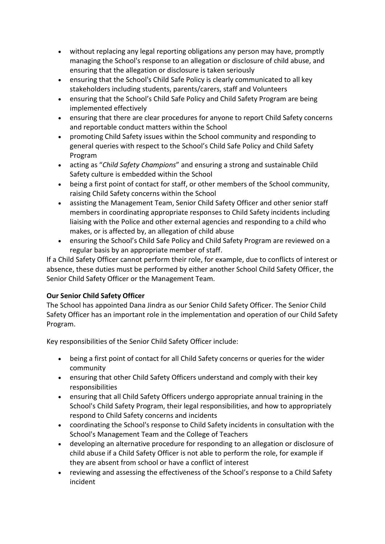- without replacing any legal reporting obligations any person may have, promptly managing the School's response to an allegation or disclosure of child abuse, and ensuring that the allegation or disclosure is taken seriously
- ensuring that the School's Child Safe Policy is clearly communicated to all key stakeholders including students, parents/carers, staff and Volunteers
- ensuring that the School's Child Safe Policy and Child Safety Program are being implemented effectively
- ensuring that there are clear procedures for anyone to report Child Safety concerns and reportable conduct matters within the School
- promoting Child Safety issues within the School community and responding to general queries with respect to the School's Child Safe Policy and Child Safety Program
- acting as "*Child Safety Champions*" and ensuring a strong and sustainable Child Safety culture is embedded within the School
- being a first point of contact for staff, or other members of the School community, raising Child Safety concerns within the School
- assisting the Management Team, Senior Child Safety Officer and other senior staff members in coordinating appropriate responses to Child Safety incidents including liaising with the Police and other external agencies and responding to a child who makes, or is affected by, an allegation of child abuse
- ensuring the School's Child Safe Policy and Child Safety Program are reviewed on a regular basis by an appropriate member of staff.

If a Child Safety Officer cannot perform their role, for example, due to conflicts of interest or absence, these duties must be performed by either another School Child Safety Officer, the Senior Child Safety Officer or the Management Team.

### **Our Senior Child Safety Officer**

The School has appointed Dana Jindra as our Senior Child Safety Officer. The Senior Child Safety Officer has an important role in the implementation and operation of our Child Safety Program.

Key responsibilities of the Senior Child Safety Officer include:

- being a first point of contact for all Child Safety concerns or queries for the wider community
- ensuring that other Child Safety Officers understand and comply with their key responsibilities
- ensuring that all Child Safety Officers undergo appropriate annual training in the School's Child Safety Program, their legal responsibilities, and how to appropriately respond to Child Safety concerns and incidents
- coordinating the School's response to Child Safety incidents in consultation with the School's Management Team and the College of Teachers
- developing an alternative procedure for responding to an allegation or disclosure of child abuse if a Child Safety Officer is not able to perform the role, for example if they are absent from school or have a conflict of interest
- reviewing and assessing the effectiveness of the School's response to a Child Safety incident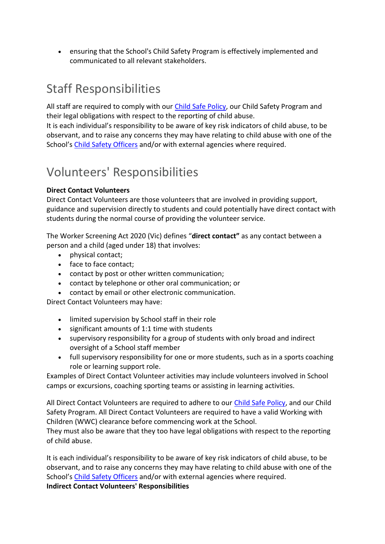• ensuring that the School's Child Safety Program is effectively implemented and communicated to all relevant stakeholders.

### Staff Responsibilities

All staff are required to comply with our [Child Safe Policy,](https://drss.complispaceprimary.com.au/module/53/page/d49a3c7a-5391-4453-b406-2e91199e377a.md) our Child Safety Program and their legal obligations with respect to the reporting of child abuse.

It is each individual's responsibility to be aware of key risk indicators of child abuse, to be observant, and to raise any concerns they may have relating to child abuse with one of the School's [Child Safety Officers](https://drss.complispaceprimary.com.au/module/53/page/b8877a38-8408-4730-979b-53cb1705529a.md) and/or with external agencies where required.

### Volunteers' Responsibilities

#### **Direct Contact Volunteers**

Direct Contact Volunteers are those volunteers that are involved in providing support, guidance and supervision directly to students and could potentially have direct contact with students during the normal course of providing the volunteer service.

The Worker Screening Act 2020 (Vic) defines "**direct contact"** as any contact between a person and a child (aged under 18) that involves:

- physical contact;
- face to face contact;
- contact by post or other written communication;
- contact by telephone or other oral communication; or
- contact by email or other electronic communication.

Direct Contact Volunteers may have:

- limited supervision by School staff in their role
- significant amounts of 1:1 time with students
- supervisory responsibility for a group of students with only broad and indirect oversight of a School staff member
- full supervisory responsibility for one or more students, such as in a sports coaching role or learning support role.

Examples of Direct Contact Volunteer activities may include volunteers involved in School camps or excursions, coaching sporting teams or assisting in learning activities.

All Direct Contact Volunteers are required to adhere to our [Child Safe Policy,](https://drss.complispaceprimary.com.au/module/53/page/7b03baf1-c3d6-4567-9b0d-d6a83ec64d7e.md) and our Child Safety Program. All Direct Contact Volunteers are required to have a valid Working with Children (WWC) clearance before commencing work at the School.

They must also be aware that they too have legal obligations with respect to the reporting of child abuse.

It is each individual's responsibility to be aware of key risk indicators of child abuse, to be observant, and to raise any concerns they may have relating to child abuse with one of the School's [Child Safety Officers](https://drss.complispaceprimary.com.au/module/53/page/a621ebbc-9a19-4373-bde1-cf5de6608dab.md) and/or with external agencies where required. **Indirect Contact Volunteers' Responsibilities**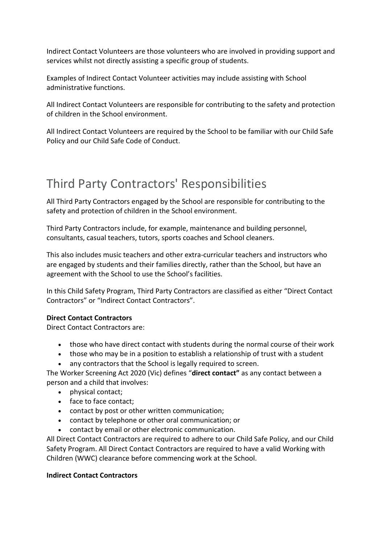Indirect Contact Volunteers are those volunteers who are involved in providing support and services whilst not directly assisting a specific group of students.

Examples of Indirect Contact Volunteer activities may include assisting with School administrative functions.

All Indirect Contact Volunteers are responsible for contributing to the safety and protection of children in the School environment.

All Indirect Contact Volunteers are required by the School to be familiar with our Child Safe Policy and our Child Safe Code of Conduct.

### Third Party Contractors' Responsibilities

All Third Party Contractors engaged by the School are responsible for contributing to the safety and protection of children in the School environment.

Third Party Contractors include, for example, maintenance and building personnel, consultants, casual teachers, tutors, sports coaches and School cleaners.

This also includes music teachers and other extra-curricular teachers and instructors who are engaged by students and their families directly, rather than the School, but have an agreement with the School to use the School's facilities.

In this Child Safety Program, Third Party Contractors are classified as either "Direct Contact Contractors" or "Indirect Contact Contractors".

#### **Direct Contact Contractors**

Direct Contact Contractors are:

- those who have direct contact with students during the normal course of their work
- those who may be in a position to establish a relationship of trust with a student • any contractors that the School is legally required to screen.
- The Worker Screening Act 2020 (Vic) defines "**direct contact"** as any contact between a
- person and a child that involves:
	- physical contact;
	- face to face contact;
	- contact by post or other written communication;
	- contact by telephone or other oral communication; or
	- contact by email or other electronic communication.

All Direct Contact Contractors are required to adhere to our Child Safe Policy, and our Child Safety Program. All Direct Contact Contractors are required to have a valid Working with Children (WWC) clearance before commencing work at the School.

#### **Indirect Contact Contractors**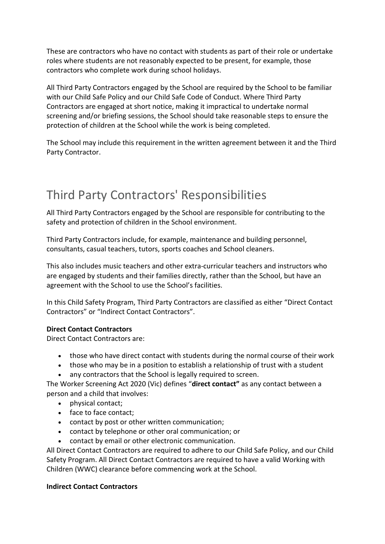These are contractors who have no contact with students as part of their role or undertake roles where students are not reasonably expected to be present, for example, those contractors who complete work during school holidays.

All Third Party Contractors engaged by the School are required by the School to be familiar with our Child Safe Policy and our Child Safe Code of Conduct. Where Third Party Contractors are engaged at short notice, making it impractical to undertake normal screening and/or briefing sessions, the School should take reasonable steps to ensure the protection of children at the School while the work is being completed.

The School may include this requirement in the written agreement between it and the Third Party Contractor.

### Third Party Contractors' Responsibilities

All Third Party Contractors engaged by the School are responsible for contributing to the safety and protection of children in the School environment.

Third Party Contractors include, for example, maintenance and building personnel, consultants, casual teachers, tutors, sports coaches and School cleaners.

This also includes music teachers and other extra-curricular teachers and instructors who are engaged by students and their families directly, rather than the School, but have an agreement with the School to use the School's facilities.

In this Child Safety Program, Third Party Contractors are classified as either "Direct Contact Contractors" or "Indirect Contact Contractors".

#### **Direct Contact Contractors**

Direct Contact Contractors are:

- those who have direct contact with students during the normal course of their work
- those who may be in a position to establish a relationship of trust with a student
- any contractors that the School is legally required to screen.

The Worker Screening Act 2020 (Vic) defines "**direct contact"** as any contact between a person and a child that involves:

- physical contact;
- face to face contact;
- contact by post or other written communication;
- contact by telephone or other oral communication; or
- contact by email or other electronic communication.

All Direct Contact Contractors are required to adhere to our Child Safe Policy, and our Child Safety Program. All Direct Contact Contractors are required to have a valid Working with Children (WWC) clearance before commencing work at the School.

#### **Indirect Contact Contractors**